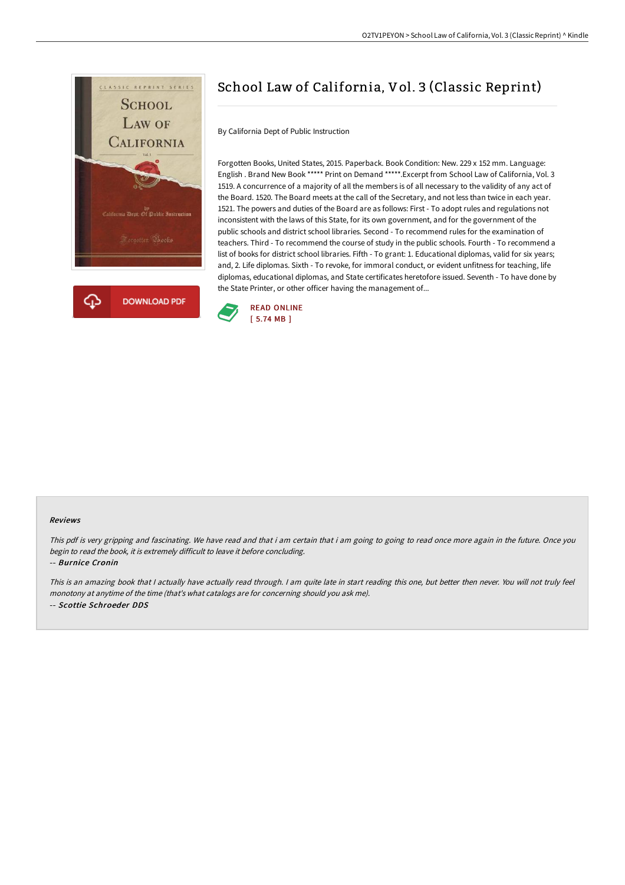

## School Law of California, Vol. 3 (Classic Reprint)

By California Dept of Public Instruction

Forgotten Books, United States, 2015. Paperback. Book Condition: New. 229 x 152 mm. Language: English . Brand New Book \*\*\*\*\* Print on Demand \*\*\*\*\*.Excerpt from School Law of California, Vol. 3 1519. A concurrence of a majority of all the members is of all necessary to the validity of any act of the Board. 1520. The Board meets at the call of the Secretary, and not less than twice in each year. 1521. The powers and duties of the Board are as follows: First - To adopt rules and regulations not inconsistent with the laws of this State, for its own government, and for the government of the public schools and district school libraries. Second - To recommend rules for the examination of teachers. Third - To recommend the course of study in the public schools. Fourth - To recommend a list of books for district school libraries. Fifth - To grant: 1. Educational diplomas, valid for six years; and, 2. Life diplomas. Sixth - To revoke, for immoral conduct, or evident unfitness for teaching, life diplomas, educational diplomas, and State certificates heretofore issued. Seventh - To have done by the State Printer, or other officer having the management of...



## Reviews

This pdf is very gripping and fascinating. We have read and that i am certain that i am going to going to read once more again in the future. Once you begin to read the book, it is extremely difficult to leave it before concluding.

-- Burnice Cronin

This is an amazing book that <sup>I</sup> actually have actually read through. <sup>I</sup> am quite late in start reading this one, but better then never. You will not truly feel monotony at anytime of the time (that's what catalogs are for concerning should you ask me). -- Scottie Schroeder DDS